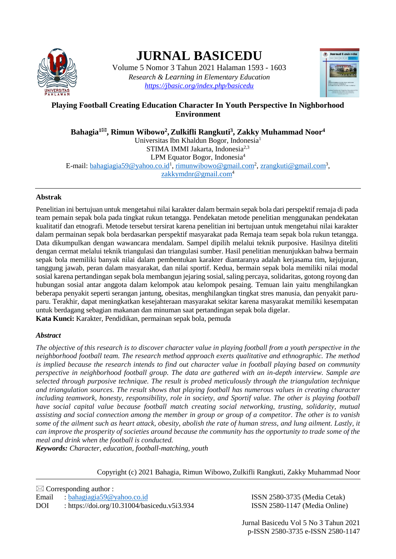

# **JURNAL BASICEDU**

Volume 5 Nomor 3 Tahun 2021 Halaman 1593 - 1603 *Research & Learning in Elementary Education <https://jbasic.org/index.php/basicedu>*



# **Playing Football Creating Education Character In Youth Perspective In Nighborhood Environment**

**Bahagia<sup>1</sup>, Rimun Wibowo<sup>2</sup> ,Zulkifli Rangkuti<sup>3</sup> , Zakky Muhammad Noor<sup>4</sup>** Universitas Ibn Khaldun Bogor, Indonesia<sup>1</sup> STIMA IMMI Jakarta, Indonesia<sup>2,3</sup> LPM Equator Bogor, Indonesia<sup>4</sup> E-mail: <u>bahagiagia59@yahoo.co.id<sup>1</sup>, [rimunwibowo@gmail.com](mailto:rimunwibowo@gmail.com)<sup>2</sup>, <u>zrangkuti@gmail.com</u><sup>3</sup>,</u> [zakkymdnr@gmail.com](mailto:zakkymdnr@gmail.com)<sup>4</sup>

# **Abstrak**

Penelitian ini bertujuan untuk mengetahui nilai karakter dalam bermain sepak bola dari perspektif remaja di pada team pemain sepak bola pada tingkat rukun tetangga. Pendekatan metode penelitian menggunakan pendekatan kualitatif dan etnografi. Metode tersebut tersirat karena penelitian ini bertujuan untuk mengetahui nilai karakter dalam permainan sepak bola berdasarkan perspektif masyarakat pada Remaja team sepak bola rukun tetangga. Data dikumpulkan dengan wawancara mendalam. Sampel dipilih melalui teknik purposive. Hasilnya diteliti dengan cermat melalui teknik triangulasi dan triangulasi sumber. Hasil penelitian menunjukkan bahwa bermain sepak bola memiliki banyak nilai dalam pembentukan karakter diantaranya adalah kerjasama tim, kejujuran, tanggung jawab, peran dalam masyarakat, dan nilai sportif. Kedua, bermain sepak bola memiliki nilai modal sosial karena pertandingan sepak bola membangun jejaring sosial, saling percaya, solidaritas, gotong royong dan hubungan sosial antar anggota dalam kelompok atau kelompok pesaing. Temuan lain yaitu menghilangkan beberapa penyakit seperti serangan jantung, obesitas, menghilangkan tingkat stres manusia, dan penyakit paruparu. Terakhir, dapat meningkatkan kesejahteraan masyarakat sekitar karena masyarakat memiliki kesempatan untuk berdagang sebagian makanan dan minuman saat pertandingan sepak bola digelar. **Kata Kunci:** Karakter, Pendidikan, permainan sepak bola, pemuda

# *Abstract*

*The objective of this research is to discover character value in playing football from a youth perspective in the neighborhood football team. The research method approach exerts qualitative and ethnographic. The method is implied because the research intends to find out character value in football playing based on community perspective in neighborhood football group. The data are gathered with an in-depth interview. Sample are selected through purposive technique. The result is probed meticulously through the triangulation technique and triangulation sources. The result shows that playing football has numerous values in creating character*  including teamwork, honesty, responsibility, role in society, and Sportif value. The other is playing football *have social capital value because football match creating social networking, trusting, solidarity, mutual assisting and social connection among the member in group or group of a competitor. The other is to vanish some of the ailment such as heart attack, obesity, abolish the rate of human stress, and lung ailment. Lastly, it can improve the prosperity of societies around because the community has the opportunity to trade some of the meal and drink when the football is conducted.*

*Keywords: Character, education, football-matching, youth*

Copyright (c) 2021 Bahagia, Rimun Wibowo, Zulkifli Rangkuti, Zakky Muhammad Noor

 $\boxtimes$  Corresponding author : Email : [bahagiagia59@yahoo.co.id](mailto:bahagiagia59@yahoo.co.id) ISSN 2580-3735 (Media Cetak) DOI :<https://doi.org/10.31004/basicedu.v5i3.934> ISSN 2580-1147 (Media Online)

Jurnal Basicedu Vol 5 No 3 Tahun 2021 p-ISSN 2580-3735 e-ISSN 2580-1147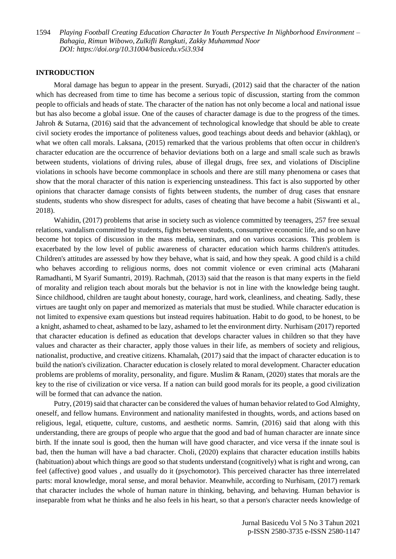#### **INTRODUCTION**

Moral damage has begun to appear in the present. Suryadi, (2012) said that the character of the nation which has decreased from time to time has become a serious topic of discussion, starting from the common people to officials and heads of state. The character of the nation has not only become a local and national issue but has also become a global issue. One of the causes of character damage is due to the progress of the times. Jahroh & Sutarna, (2016) said that the advancement of technological knowledge that should be able to create civil society erodes the importance of politeness values, good teachings about deeds and behavior (akhlaq), or what we often call morals. Laksana, (2015) remarked that the various problems that often occur in children's character education are the occurrence of behavior deviations both on a large and small scale such as brawls between students, violations of driving rules, abuse of illegal drugs, free sex, and violations of Discipline violations in schools have become commonplace in schools and there are still many phenomena or cases that show that the moral character of this nation is experiencing unsteadiness. This fact is also supported by other opinions that character damage consists of fights between students, the number of drug cases that ensnare students, students who show disrespect for adults, cases of cheating that have become a habit (Siswanti et al., 2018).

Wahidin, (2017) problems that arise in society such as violence committed by teenagers, 257 free sexual relations, vandalism committed by students, fights between students, consumptive economic life, and so on have become hot topics of discussion in the mass media, seminars, and on various occasions. This problem is exacerbated by the low level of public awareness of character education which harms children's attitudes. Children's attitudes are assessed by how they behave, what is said, and how they speak. A good child is a child who behaves according to religious norms, does not commit violence or even criminal acts (Maharani Ramadhanti, M Syarif Sumantri, 2019). Rachmah, (2013) said that the reason is that many experts in the field of morality and religion teach about morals but the behavior is not in line with the knowledge being taught. Since childhood, children are taught about honesty, courage, hard work, cleanliness, and cheating. Sadly, these virtues are taught only on paper and memorized as materials that must be studied. While character education is not limited to expensive exam questions but instead requires habituation. Habit to do good, to be honest, to be a knight, ashamed to cheat, ashamed to be lazy, ashamed to let the environment dirty. Nurhisam (2017) reported that character education is defined as education that develops character values in children so that they have values and character as their character, apply those values in their life, as members of society and religious, nationalist, productive, and creative citizens. Khamalah, (2017) said that the impact of character education is to build the nation's civilization. Character education is closely related to moral development. Character education problems are problems of morality, personality, and figure. Muslim & Ranam, (2020) states that morals are the key to the rise of civilization or vice versa. If a nation can build good morals for its people, a good civilization will be formed that can advance the nation.

Putry, (2019) said that character can be considered the values of human behavior related to God Almighty, oneself, and fellow humans. Environment and nationality manifested in thoughts, words, and actions based on religious, legal, etiquette, culture, customs, and aesthetic norms. Samrin, (2016) said that along with this understanding, there are groups of people who argue that the good and bad of human character are innate since birth. If the innate soul is good, then the human will have good character, and vice versa if the innate soul is bad, then the human will have a bad character. Choli, (2020) explains that character education instills habits (habituation) about which things are good so that students understand (cognitively) what is right and wrong, can feel (affective) good values , and usually do it (psychomotor). This perceived character has three interrelated parts: moral knowledge, moral sense, and moral behavior. Meanwhile, according to Nurhisam, (2017) remark that character includes the whole of human nature in thinking, behaving, and behaving. Human behavior is inseparable from what he thinks and he also feels in his heart, so that a person's character needs knowledge of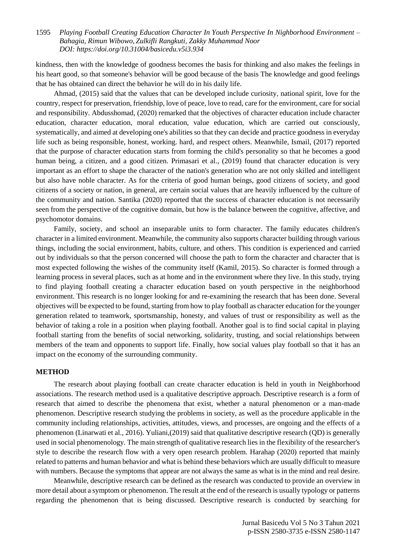kindness, then with the knowledge of goodness becomes the basis for thinking and also makes the feelings in his heart good, so that someone's behavior will be good because of the basis The knowledge and good feelings that he has obtained can direct the behavior he will do in his daily life.

Ahmad, (2015) said that the values that can be developed include curiosity, national spirit, love for the country, respect for preservation, friendship, love of peace, love to read, care for the environment, care for social and responsibility. Abdusshomad, (2020) remarked that the objectives of character education include character education, character education, moral education, value education, which are carried out consciously, systematically, and aimed at developing one's abilities so that they can decide and practice goodness in everyday life such as being responsible, honest, working. hard, and respect others. Meanwhile, Ismail, (2017) reported that the purpose of character education starts from forming the child's personality so that he becomes a good human being, a citizen, and a good citizen. Primasari et al., (2019) found that character education is very important as an effort to shape the character of the nation's generation who are not only skilled and intelligent but also have noble character. As for the criteria of good human beings, good citizens of society, and good citizens of a society or nation, in general, are certain social values that are heavily influenced by the culture of the community and nation. Santika (2020) reported that the success of character education is not necessarily seen from the perspective of the cognitive domain, but how is the balance between the cognitive, affective, and psychomotor domains.

Family, society, and school an inseparable units to form character. The family educates children's character in a limited environment. Meanwhile, the community also supports character building through various things, including the social environment, habits, culture, and others. This condition is experienced and carried out by individuals so that the person concerned will choose the path to form the character and character that is most expected following the wishes of the community itself (Kamil, 2015). So character is formed through a learning process in several places, such as at home and in the environment where they live. In this study, trying to find playing football creating a character education based on youth perspective in the neighborhood environment. This research is no longer looking for and re-examining the research that has been done. Several objectives will be expected to be found, starting from how to play football as character education for the younger generation related to teamwork, sportsmanship, honesty, and values of trust or responsibility as well as the behavior of taking a role in a position when playing football. Another goal is to find social capital in playing football starting from the benefits of social networking, solidarity, trusting, and social relationships between members of the team and opponents to support life. Finally, how social values play football so that it has an impact on the economy of the surrounding community.

#### **METHOD**

The research about playing football can create character education is held in youth in Neighborhood associations. The research method used is a qualitative descriptive approach. Descriptive research is a form of research that aimed to describe the phenomena that exist, whether a natural phenomenon or a man-made phenomenon. Descriptive research studying the problems in society, as well as the procedure applicable in the community including relationships, activities, attitudes, views, and processes, are ongoing and the effects of a phenomenon (Linarwati et al., 2016). Yuliani,(2019) said that qualitative descriptive research (QD) is generally used in social phenomenology. The main strength of qualitative research lies in the flexibility of the researcher's style to describe the research flow with a very open research problem. Harahap (2020) reported that mainly related to patterns and human behavior and what is behind these behaviors which are usually difficult to measure with numbers. Because the symptoms that appear are not always the same as what is in the mind and real desire.

Meanwhile, descriptive research can be defined as the research was conducted to provide an overview in more detail about a symptom or phenomenon. The result at the end of the research is usually typology or patterns regarding the phenomenon that is being discussed. Descriptive research is conducted by searching for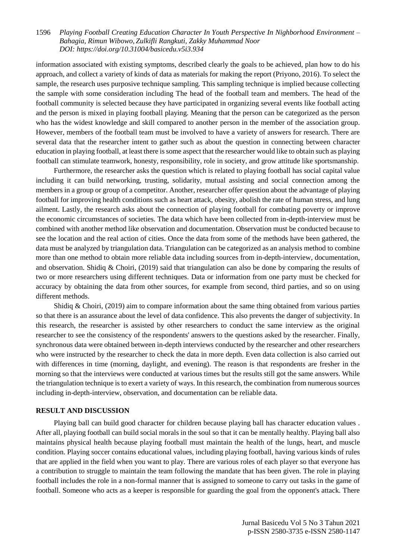information associated with existing symptoms, described clearly the goals to be achieved, plan how to do his approach, and collect a variety of kinds of data as materials for making the report (Priyono, 2016). To select the sample, the research uses purposive technique sampling. This sampling technique is implied because collecting the sample with some consideration including The head of the football team and members. The head of the football community is selected because they have participated in organizing several events like football acting and the person is mixed in playing football playing. Meaning that the person can be categorized as the person who has the widest knowledge and skill compared to another person in the member of the association group. However, members of the football team must be involved to have a variety of answers for research. There are several data that the researcher intent to gather such as about the question in connecting between character education in playing football, at least there is some aspect that the researcher would like to obtain such as playing football can stimulate teamwork, honesty, responsibility, role in society, and grow attitude like sportsmanship.

Furthermore, the researcher asks the question which is related to playing football has social capital value including it can build networking, trusting, solidarity, mutual assisting and social connection among the members in a group or group of a competitor. Another, researcher offer question about the advantage of playing football for improving health conditions such as heart attack, obesity, abolish the rate of human stress, and lung ailment. Lastly, the research asks about the connection of playing football for combating poverty or improve the economic circumstances of societies. The data which have been collected from in-depth-interview must be combined with another method like observation and documentation. Observation must be conducted because to see the location and the real action of cities. Once the data from some of the methods have been gathered, the data must be analyzed by triangulation data. Triangulation can be categorized as an analysis method to combine more than one method to obtain more reliable data including sources from in-depth-interview, documentation, and observation. Shidiq & Choiri, (2019) said that triangulation can also be done by comparing the results of two or more researchers using different techniques. Data or information from one party must be checked for accuracy by obtaining the data from other sources, for example from second, third parties, and so on using different methods.

Shidiq & Choiri, (2019) aim to compare information about the same thing obtained from various parties so that there is an assurance about the level of data confidence. This also prevents the danger of subjectivity. In this research, the researcher is assisted by other researchers to conduct the same interview as the original researcher to see the consistency of the respondents' answers to the questions asked by the researcher. Finally, synchronous data were obtained between in-depth interviews conducted by the researcher and other researchers who were instructed by the researcher to check the data in more depth. Even data collection is also carried out with differences in time (morning, daylight, and evening). The reason is that respondents are fresher in the morning so that the interviews were conducted at various times but the results still got the same answers. While the triangulation technique is to exert a variety of ways. In this research, the combination from numerous sources including in-depth-interview, observation, and documentation can be reliable data.

### **RESULT AND DISCUSSION**

Playing ball can build good character for children because playing ball has character education values . After all, playing football can build social morals in the soul so that it can be mentally healthy. Playing ball also maintains physical health because playing football must maintain the health of the lungs, heart, and muscle condition. Playing soccer contains educational values, including playing football, having various kinds of rules that are applied in the field when you want to play. There are various roles of each player so that everyone has a contribution to struggle to maintain the team following the mandate that has been given. The role in playing football includes the role in a non-formal manner that is assigned to someone to carry out tasks in the game of football. Someone who acts as a keeper is responsible for guarding the goal from the opponent's attack. There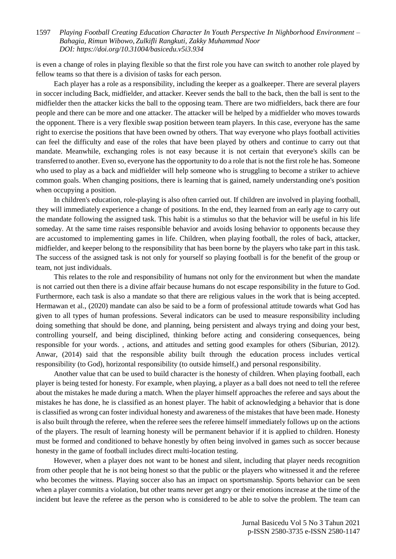is even a change of roles in playing flexible so that the first role you have can switch to another role played by fellow teams so that there is a division of tasks for each person.

Each player has a role as a responsibility, including the keeper as a goalkeeper. There are several players in soccer including Back, midfielder, and attacker. Keever sends the ball to the back, then the ball is sent to the midfielder then the attacker kicks the ball to the opposing team. There are two midfielders, back there are four people and there can be more and one attacker. The attacker will be helped by a midfielder who moves towards the opponent. There is a very flexible swap position between team players. In this case, everyone has the same right to exercise the positions that have been owned by others. That way everyone who plays football activities can feel the difficulty and ease of the roles that have been played by others and continue to carry out that mandate. Meanwhile, exchanging roles is not easy because it is not certain that everyone's skills can be transferred to another. Even so, everyone has the opportunity to do a role that is not the first role he has. Someone who used to play as a back and midfielder will help someone who is struggling to become a striker to achieve common goals. When changing positions, there is learning that is gained, namely understanding one's position when occupying a position.

In children's education, role-playing is also often carried out. If children are involved in playing football, they will immediately experience a change of positions. In the end, they learned from an early age to carry out the mandate following the assigned task. This habit is a stimulus so that the behavior will be useful in his life someday. At the same time raises responsible behavior and avoids losing behavior to opponents because they are accustomed to implementing games in life. Children, when playing football, the roles of back, attacker, midfielder, and keeper belong to the responsibility that has been borne by the players who take part in this task. The success of the assigned task is not only for yourself so playing football is for the benefit of the group or team, not just individuals.

This relates to the role and responsibility of humans not only for the environment but when the mandate is not carried out then there is a divine affair because humans do not escape responsibility in the future to God. Furthermore, each task is also a mandate so that there are religious values in the work that is being accepted. Hermawan et al., (2020) mandate can also be said to be a form of professional attitude towards what God has given to all types of human professions. Several indicators can be used to measure responsibility including doing something that should be done, and planning, being persistent and always trying and doing your best, controlling yourself, and being disciplined, thinking before acting and considering consequences, being responsible for your words. , actions, and attitudes and setting good examples for others (Siburian, 2012). Anwar, (2014) said that the responsible ability built through the education process includes vertical responsibility (to God), horizontal responsibility (to outside himself,) and personal responsibility.

Another value that can be used to build character is the honesty of children. When playing football, each player is being tested for honesty. For example, when playing, a player as a ball does not need to tell the referee about the mistakes he made during a match. When the player himself approaches the referee and says about the mistakes he has done, he is classified as an honest player. The habit of acknowledging a behavior that is done is classified as wrong can foster individual honesty and awareness of the mistakes that have been made. Honesty is also built through the referee, when the referee sees the referee himself immediately follows up on the actions of the players. The result of learning honesty will be permanent behavior if it is applied to children. Honesty must be formed and conditioned to behave honestly by often being involved in games such as soccer because honesty in the game of football includes direct multi-location testing.

However, when a player does not want to be honest and silent, including that player needs recognition from other people that he is not being honest so that the public or the players who witnessed it and the referee who becomes the witness. Playing soccer also has an impact on sportsmanship. Sports behavior can be seen when a player commits a violation, but other teams never get angry or their emotions increase at the time of the incident but leave the referee as the person who is considered to be able to solve the problem. The team can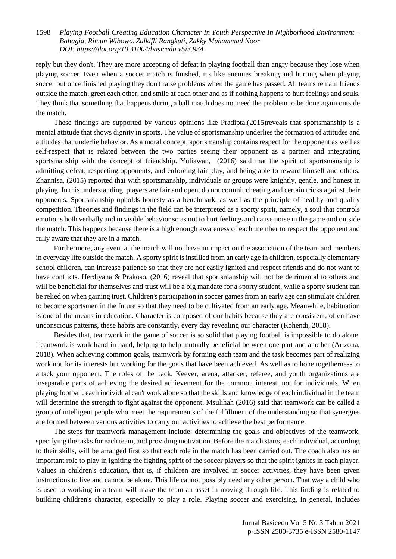reply but they don't. They are more accepting of defeat in playing football than angry because they lose when playing soccer. Even when a soccer match is finished, it's like enemies breaking and hurting when playing soccer but once finished playing they don't raise problems when the game has passed. All teams remain friends outside the match, greet each other, and smile at each other and as if nothing happens to hurt feelings and souls. They think that something that happens during a ball match does not need the problem to be done again outside the match.

These findings are supported by various opinions like Pradipta,(2015)reveals that sportsmanship is a mental attitude that shows dignity in sports. The value of sportsmanship underlies the formation of attitudes and attitudes that underlie behavior. As a moral concept, sportsmanship contains respect for the opponent as well as self-respect that is related between the two parties seeing their opponent as a partner and integrating sportsmanship with the concept of friendship. Yuliawan, (2016) said that the spirit of sportsmanship is admitting defeat, respecting opponents, and enforcing fair play, and being able to reward himself and others. Zhannisa, (2015) reported that with sportsmanship, individuals or groups were knightly, gentle, and honest in playing. In this understanding, players are fair and open, do not commit cheating and certain tricks against their opponents. Sportsmanship upholds honesty as a benchmark, as well as the principle of healthy and quality competition. Theories and findings in the field can be interpreted as a sporty spirit, namely, a soul that controls emotions both verbally and in visible behavior so as not to hurt feelings and cause noise in the game and outside the match. This happens because there is a high enough awareness of each member to respect the opponent and fully aware that they are in a match.

Furthermore, any event at the match will not have an impact on the association of the team and members in everyday life outside the match. A sporty spirit is instilled from an early age in children, especially elementary school children, can increase patience so that they are not easily ignited and respect friends and do not want to have conflicts. Herdiyana & Prakoso, (2016) reveal that sportsmanship will not be detrimental to others and will be beneficial for themselves and trust will be a big mandate for a sporty student, while a sporty student can be relied on when gaining trust. Children's participation in soccer games from an early age can stimulate children to become sportsmen in the future so that they need to be cultivated from an early age. Meanwhile, habituation is one of the means in education. Character is composed of our habits because they are consistent, often have unconscious patterns, these habits are constantly, every day revealing our character (Rohendi, 2018).

Besides that, teamwork in the game of soccer is so solid that playing football is impossible to do alone. Teamwork is work hand in hand, helping to help mutually beneficial between one part and another (Arizona, 2018). When achieving common goals, teamwork by forming each team and the task becomes part of realizing work not for its interests but working for the goals that have been achieved. As well as to hone togetherness to attack your opponent. The roles of the back, Keever, arena, attacker, referee, and youth organizations are inseparable parts of achieving the desired achievement for the common interest, not for individuals. When playing football, each individual can't work alone so that the skills and knowledge of each individual in the team will determine the strength to fight against the opponent. Msulihah (2016) said that teamwork can be called a group of intelligent people who meet the requirements of the fulfillment of the understanding so that synergies are formed between various activities to carry out activities to achieve the best performance.

The steps for teamwork management include: determining the goals and objectives of the teamwork, specifying the tasks for each team, and providing motivation. Before the match starts, each individual, according to their skills, will be arranged first so that each role in the match has been carried out. The coach also has an important role to play in igniting the fighting spirit of the soccer players so that the spirit ignites in each player. Values in children's education, that is, if children are involved in soccer activities, they have been given instructions to live and cannot be alone. This life cannot possibly need any other person. That way a child who is used to working in a team will make the team an asset in moving through life. This finding is related to building children's character, especially to play a role. Playing soccer and exercising, in general, includes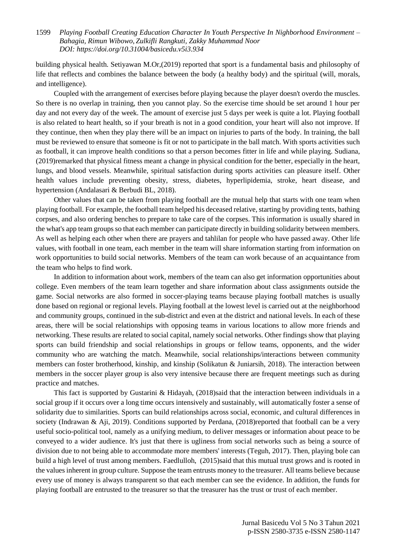building physical health. Setiyawan M.Or,(2019) reported that sport is a fundamental basis and philosophy of life that reflects and combines the balance between the body (a healthy body) and the spiritual (will, morals, and intelligence).

Coupled with the arrangement of exercises before playing because the player doesn't overdo the muscles. So there is no overlap in training, then you cannot play. So the exercise time should be set around 1 hour per day and not every day of the week. The amount of exercise just 5 days per week is quite a lot. Playing football is also related to heart health, so if your breath is not in a good condition, your heart will also not improve. If they continue, then when they play there will be an impact on injuries to parts of the body. In training, the ball must be reviewed to ensure that someone is fit or not to participate in the ball match. With sports activities such as football, it can improve health conditions so that a person becomes fitter in life and while playing. Sudiana, (2019)remarked that physical fitness meant a change in physical condition for the better, especially in the heart, lungs, and blood vessels. Meanwhile, spiritual satisfaction during sports activities can pleasure itself. Other health values include preventing obesity, stress, diabetes, hyperlipidemia, stroke, heart disease, and hypertension (Andalasari & Berbudi BL, 2018).

Other values that can be taken from playing football are the mutual help that starts with one team when playing football. For example, the football team helped his deceased relative, starting by providing tents, bathing corpses, and also ordering benches to prepare to take care of the corpses. This information is usually shared in the what's app team groups so that each member can participate directly in building solidarity between members. As well as helping each other when there are prayers and tahlilan for people who have passed away. Other life values, with football in one team, each member in the team will share information starting from information on work opportunities to build social networks. Members of the team can work because of an acquaintance from the team who helps to find work.

In addition to information about work, members of the team can also get information opportunities about college. Even members of the team learn together and share information about class assignments outside the game. Social networks are also formed in soccer-playing teams because playing football matches is usually done based on regional or regional levels. Playing football at the lowest level is carried out at the neighborhood and community groups, continued in the sub-district and even at the district and national levels. In each of these areas, there will be social relationships with opposing teams in various locations to allow more friends and networking. These results are related to social capital, namely social networks. Other findings show that playing sports can build friendship and social relationships in groups or fellow teams, opponents, and the wider community who are watching the match. Meanwhile, social relationships/interactions between community members can foster brotherhood, kinship, and kinship (Solikatun & Juniarsih, 2018). The interaction between members in the soccer player group is also very intensive because there are frequent meetings such as during practice and matches.

This fact is supported by Gustarini & Hidayah, (2018)said that the interaction between individuals in a social group if it occurs over a long time occurs intensively and sustainably, will automatically foster a sense of solidarity due to similarities. Sports can build relationships across social, economic, and cultural differences in society (Indrawan & Aji, 2019). Conditions supported by Perdana, (2018)reported that football can be a very useful socio-political tool, namely as a unifying medium, to deliver messages or information about peace to be conveyed to a wider audience. It's just that there is ugliness from social networks such as being a source of division due to not being able to accommodate more members' interests (Teguh, 2017). Then, playing bole can build a high level of trust among members. Faedlulloh, (2015)said that this mutual trust grows and is rooted in the values inherent in group culture. Suppose the team entrusts money to the treasurer. All teams believe because every use of money is always transparent so that each member can see the evidence. In addition, the funds for playing football are entrusted to the treasurer so that the treasurer has the trust or trust of each member.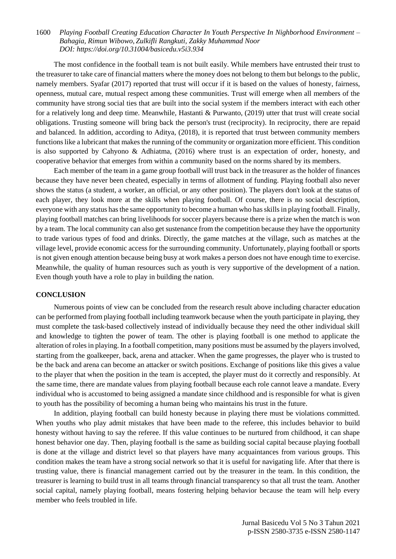The most confidence in the football team is not built easily. While members have entrusted their trust to the treasurer to take care of financial matters where the money does not belong to them but belongs to the public, namely members. Syafar (2017) reported that trust will occur if it is based on the values of honesty, fairness, openness, mutual care, mutual respect among these communities. Trust will emerge when all members of the community have strong social ties that are built into the social system if the members interact with each other for a relatively long and deep time. Meanwhile, Hastanti & Purwanto, (2019) utter that trust will create social obligations. Trusting someone will bring back the person's trust (reciprocity). In reciprocity, there are repaid and balanced. In addition, according to Aditya, (2018), it is reported that trust between community members functions like a lubricant that makes the running of the community or organization more efficient. This condition is also supported by Cahyono & Adhiatma, (2016) where trust is an expectation of order, honesty, and cooperative behavior that emerges from within a community based on the norms shared by its members.

Each member of the team in a game group football will trust back in the treasurer as the holder of finances because they have never been cheated, especially in terms of allotment of funding. Playing football also never shows the status (a student, a worker, an official, or any other position). The players don't look at the status of each player, they look more at the skills when playing football. Of course, there is no social description, everyone with any status has the same opportunity to become a human who has skills in playing football. Finally, playing football matches can bring livelihoods for soccer players because there is a prize when the match is won by a team. The local community can also get sustenance from the competition because they have the opportunity to trade various types of food and drinks. Directly, the game matches at the village, such as matches at the village level, provide economic access for the surrounding community. Unfortunately, playing football or sports is not given enough attention because being busy at work makes a person does not have enough time to exercise. Meanwhile, the quality of human resources such as youth is very supportive of the development of a nation. Even though youth have a role to play in building the nation.

#### **CONCLUSION**

Numerous points of view can be concluded from the research result above including character education can be performed from playing football including teamwork because when the youth participate in playing, they must complete the task-based collectively instead of individually because they need the other individual skill and knowledge to tighten the power of team. The other is playing football is one method to applicate the alteration of roles in playing. In a football competition, many positions must be assumed by the players involved, starting from the goalkeeper, back, arena and attacker. When the game progresses, the player who is trusted to be the back and arena can become an attacker or switch positions. Exchange of positions like this gives a value to the player that when the position in the team is accepted, the player must do it correctly and responsibly. At the same time, there are mandate values from playing football because each role cannot leave a mandate. Every individual who is accustomed to being assigned a mandate since childhood and is responsible for what is given to youth has the possibility of becoming a human being who maintains his trust in the future.

In addition, playing football can build honesty because in playing there must be violations committed. When youths who play admit mistakes that have been made to the referee, this includes behavior to build honesty without having to say the referee. If this value continues to be nurtured from childhood, it can shape honest behavior one day. Then, playing football is the same as building social capital because playing football is done at the village and district level so that players have many acquaintances from various groups. This condition makes the team have a strong social network so that it is useful for navigating life. After that there is trusting value, there is financial management carried out by the treasurer in the team. In this condition, the treasurer is learning to build trust in all teams through financial transparency so that all trust the team. Another social capital, namely playing football, means fostering helping behavior because the team will help every member who feels troubled in life.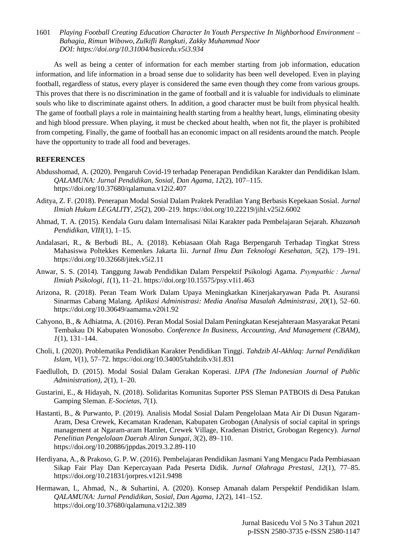As well as being a center of information for each member starting from job information, education information, and life information in a broad sense due to solidarity has been well developed. Even in playing football, regardless of status, every player is considered the same even though they come from various groups. This proves that there is no discrimination in the game of football and it is valuable for individuals to eliminate souls who like to discriminate against others. In addition, a good character must be built from physical health. The game of football plays a role in maintaining health starting from a healthy heart, lungs, eliminating obesity and high blood pressure. When playing, it must be checked about health, when not fit, the player is prohibited from competing. Finally, the game of football has an economic impact on all residents around the match. People have the opportunity to trade all food and beverages.

## **REFERENCES**

- Abdusshomad, A. (2020). Pengaruh Covid-19 terhadap Penerapan Pendidikan Karakter dan Pendidikan Islam. *QALAMUNA: Jurnal Pendidikan, Sosial, Dan Agama*, *12*(2), 107–115. https://doi.org/10.37680/qalamuna.v12i2.407
- Aditya, Z. F. (2018). Penerapan Modal Sosial Dalam Praktek Peradilan Yang Berbasis Kepekaan Sosial. *Jurnal Ilmiah Hukum LEGALITY*, *25*(2), 200–219. https://doi.org/10.22219/jihl.v25i2.6002
- Ahmad, T. A. (2015). Kendala Guru dalam Internalisasi Nilai Karakter pada Pembelajaran Sejarah. *Khazanah Pendidikan*, *VIII*(1), 1–15.
- Andalasari, R., & Berbudi BL, A. (2018). Kebiasaan Olah Raga Berpengaruh Terhadap Tingkat Stress Mahasiswa Poltekkes Kemenkes Jakarta Iii. *Jurnal Ilmu Dan Teknologi Kesehatan*, *5*(2), 179–191. https://doi.org/10.32668/jitek.v5i2.11
- Anwar, S. S. (2014). Tanggung Jawab Pendidikan Dalam Perspektif Psikologi Agama. *Psympathic : Jurnal Ilmiah Psikologi*, *1*(1), 11–21. https://doi.org/10.15575/psy.v1i1.463
- Arizona, R. (2018). Peran Team Work Dalam Upaya Meningkatkan Kinerjakaryawan Pada Pt. Asuransi Sinarmas Cabang Malang. *Aplikasi Administrasi: Media Analisa Masalah Administrasi*, *20*(1), 52–60. https://doi.org/10.30649/aamama.v20i1.92
- Cahyono, B., & Adhiatma, A. (2016). Peran Modal Sosial Dalam Peningkatan Kesejahteraan Masyarakat Petani Tembakau Di Kabupaten Wonosobo. *Conference In Business, Accounting, And Management (CBAM)*, *1*(1), 131–144.
- Choli, I. (2020). Problematika Pendidikan Karakter Pendidikan Tinggi. *Tahdzib Al-Akhlaq: Jurnal Pendidikan Islam*, *V*(1), 57–72. https://doi.org/10.34005/tahdzib.v3i1.831
- Faedlulloh, D. (2015). Modal Sosial Dalam Gerakan Koperasi. *IJPA (The Indonesian Journal of Public Administration)*, *2*(1), 1–20.
- Gustarini, E., & Hidayah, N. (2018). Solidaritas Komunitas Suporter PSS Sleman PATBOIS di Desa Patukan Gamping Sleman. *E-Societas*, *7*(1).
- Hastanti, B., & Purwanto, P. (2019). Analisis Modal Sosial Dalam Pengelolaan Mata Air Di Dusun Ngaram-Aram, Desa Crewek, Kecamatan Kradenan, Kabupaten Grobogan (Analysis of social capital in springs management at Ngaram-aram Hamlet, Crewek Village, Kradenan District, Grobogan Regency). *Jurnal Penelitian Pengelolaan Daerah Aliran Sungai*, *3*(2), 89–110. https://doi.org/10.20886/jppdas.2019.3.2.89-110
- Herdiyana, A., & Prakoso, G. P. W. (2016). Pembelajaran Pendidikan Jasmani Yang Mengacu Pada Pembiasaan Sikap Fair Play Dan Kepercayaan Pada Peserta Didik. *Jurnal Olahraga Prestasi*, *12*(1), 77–85. https://doi.org/10.21831/jorpres.v12i1.9498
- Hermawan, I., Ahmad, N., & Suhartini, A. (2020). Konsep Amanah dalam Perspektif Pendidikan Islam. *QALAMUNA: Jurnal Pendidikan, Sosial, Dan Agama*, *12*(2), 141–152. https://doi.org/10.37680/qalamuna.v12i2.389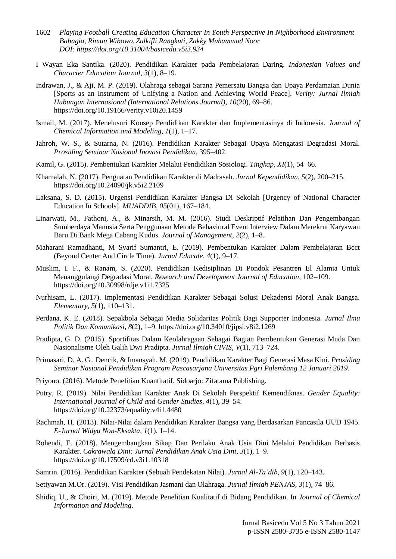- 1602 *Playing Football Creating Education Character In Youth Perspective In Nighborhood Environment – Bahagia, Rimun Wibowo, Zulkifli Rangkuti, Zakky Muhammad Noor DOI:<https://doi.org/10.31004/basicedu.v5i3.934>*
- I Wayan Eka Santika. (2020). Pendidikan Karakter pada Pembelajaran Daring. *Indonesian Values and Character Education Journal*, *3*(1), 8–19.
- Indrawan, J., & Aji, M. P. (2019). Olahraga sebagai Sarana Pemersatu Bangsa dan Upaya Perdamaian Dunia [Sports as an Instrument of Unifying a Nation and Achieving World Peace]. *Verity: Jurnal Ilmiah Hubungan Internasional (International Relations Journal)*, *10*(20), 69–86. https://doi.org/10.19166/verity.v10i20.1459
- Ismail, M. (2017). Menelusuri Konsep Pendidikan Karakter dan Implementasinya di Indonesia. *Journal of Chemical Information and Modeling*, *1*(1), 1–17.
- Jahroh, W. S., & Sutarna, N. (2016). Pendidikan Karakter Sebagai Upaya Mengatasi Degradasi Moral. *Prosiding Seminar Nasional Inovasi Pendidikan*, 395–402.
- Kamil, G. (2015). Pembentukan Karakter Melalui Pendidikan Sosiologi. *Tingkap*, *XI*(1), 54–66.
- Khamalah, N. (2017). Penguatan Pendidikan Karakter di Madrasah. *Jurnal Kependidikan*, *5*(2), 200–215. https://doi.org/10.24090/jk.v5i2.2109
- Laksana, S. D. (2015). Urgensi Pendidikan Karakter Bangsa Di Sekolah [Urgency of National Character Education In Schools]. *MUADDIB*, *05*(01), 167–184.
- Linarwati, M., Fathoni, A., & Minarsih, M. M. (2016). Studi Deskriptif Pelatihan Dan Pengembangan Sumberdaya Manusia Serta Penggunaan Metode Behavioral Event Interview Dalam Merekrut Karyawan Baru Di Bank Mega Cabang Kudus. *Journal of Management*, *2*(2), 1–8.
- Maharani Ramadhanti, M Syarif Sumantri, E. (2019). Pembentukan Karakter Dalam Pembelajaran Bcct (Beyond Center And Circle Time). *Jurnal Educate*, *4*(1), 9–17.
- Muslim, I. F., & Ranam, S. (2020). Pendidikan Kedisiplinan Di Pondok Pesantren El Alamia Untuk Menanggulangi Degradasi Moral. *Research and Development Journal of Education*, 102–109. https://doi.org/10.30998/rdje.v1i1.7325
- Nurhisam, L. (2017). Implementasi Pendidikan Karakter Sebagai Solusi Dekadensi Moral Anak Bangsa. *Elementary*, *5*(1), 110–131.
- Perdana, K. E. (2018). Sepakbola Sebagai Media Solidaritas Politik Bagi Supporter Indonesia. *Jurnal Ilmu Politik Dan Komunikasi*, *8*(2), 1–9. https://doi.org/10.34010/jipsi.v8i2.1269
- Pradipta, G. D. (2015). Sportifitas Dalam Keolahragaan Sebagai Bagian Pembentukan Generasi Muda Dan Nasionalisme Oleh Galih Dwi Pradipta. *Jurnal Ilmiah CIVIS*, *V*(1), 713–724.
- Primasari, D. A. G., Dencik, & Imansyah, M. (2019). Pendidikan Karakter Bagi Generasi Masa Kini. *Prosiding Seminar Nasional Pendidikan Program Pascasarjana Universitas Pgri Palembang 12 Januari 2019*.
- Priyono. (2016). Metode Penelitian Kuantitatif. Sidoarjo: Zifatama Publishing.
- Putry, R. (2019). Nilai Pendidikan Karakter Anak Di Sekolah Perspektif Kemendiknas. *Gender Equality: International Journal of Child and Gender Studies*, *4*(1), 39–54. https://doi.org/10.22373/equality.v4i1.4480
- Rachmah, H. (2013). Nilai-Nilai dalam Pendidikan Karakter Bangsa yang Berdasarkan Pancasila UUD 1945. *E-Jurnal Widya Non-Eksakta*, *1*(1), 1–14.
- Rohendi, E. (2018). Mengembangkan Sikap Dan Perilaku Anak Usia Dini Melalui Pendidikan Berbasis Karakter. *Cakrawala Dini: Jurnal Pendidikan Anak Usia Dini*, *3*(1), 1–9. https://doi.org/10.17509/cd.v3i1.10318
- Samrin. (2016). Pendidikan Karakter (Sebuah Pendekatan Nilai). *Jurnal Al-Ta'dib*, *9*(1), 120–143.
- Setiyawan M.Or. (2019). Visi Pendidikan Jasmani dan Olahraga. *Jurnal Ilmiah PENJAS*, *3*(1), 74–86.
- Shidiq, U., & Choiri, M. (2019). Metode Penelitian Kualitatif di Bidang Pendidikan. In *Journal of Chemical Information and Modeling*.